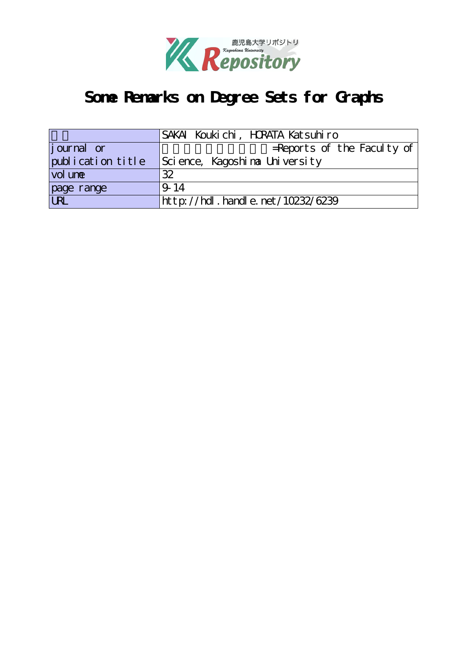

# **Some Remarks on Degree Sets for Graphs**

|                                    | SAKAI Koukichi, HRATA Katsuhiro       |
|------------------------------------|---------------------------------------|
| <i>j</i> ournal or                 | $=$ Reports of the Faculty of         |
| publication title                  | Science, Kagoshina University         |
| vol une                            | 32                                    |
| page range                         | 9.14                                  |
| $\overline{\overline{\text{URL}}}$ | ht t p://hdl. handl e. net/10232/6239 |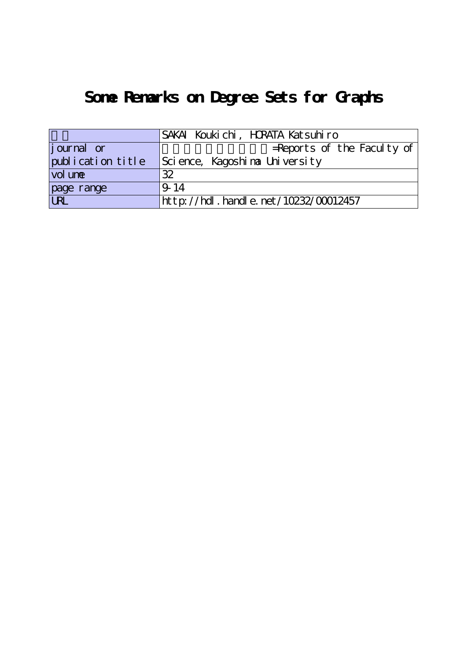# **Some Remarks on Degree Sets for Graphs**

|                   | SAKAI Koukichi, HRATA Katsuhiro      |
|-------------------|--------------------------------------|
| journal or        | $=$ Reports of the Faculty of        |
| publication title | Science, Kagoshina University        |
| vol une           | 32                                   |
| page range        | 9.14                                 |
|                   | http://hdl.handle.net/10232/00012457 |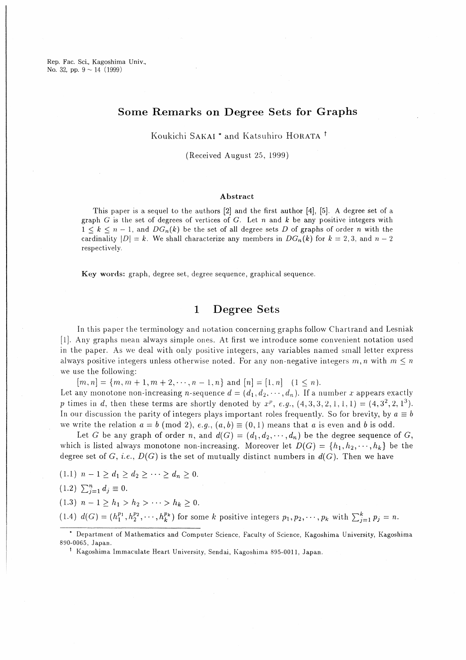Rep. Fac. Sci., Kagoshima Univ., No. 32, pp.  $9 \sim 14$  (1999)

### Some Remarks on Degree Sets for Graphs

Koukichi SAKAI<sup>\*</sup> and Katsuhiro HORATA<sup>†</sup>

(Received August 25, 1999)

### Abstract

This paper is a sequel to the authors  $[2]$  and the first author  $[4]$ ,  $[5]$ . A degree set of a graph G is the set of degrees of vertices of G. Let n and k be any positive integers with  $1 \leq k \leq n-1$ , and  $DG_n(k)$  be the set of all degree sets D of graphs of order n with the cardinality  $|D| = k$ . We shall characterize any members in  $DG_n(k)$  for  $k = 2, 3$ , and  $n - 2$ respectively.

Key words: graph, degree set, degree sequence, graphical sequence.

#### $\mathbf{1}$ **Degree Sets**

In this paper the terminology and notation concerning graphs follow Chartrand and Lesniak [1]. Any graphs mean always simple ones. At first we introduce some convenient notation used in the paper. As we deal with only positive integers, any variables named small letter express always positive integers unless otherwise noted. For any non-negative integers  $m, n$  with  $m \leq n$ we use the following:

 $[m, n] = \{m, m+1, m+2, \cdots, n-1, n\}$  and  $[n] = [1, n]$   $(1 \le n)$ .

Let any monotone non-increasing *n*-sequence  $d = (d_1, d_2, \dots, d_n)$ . If a number *x* appears exactly p times in d, then these terms are shortly denoted by  $x^p$ , e.g.,  $(4,3,3,2,1,1,1) = (4,3^2,2,1^3)$ . In our discussion the parity of integers plays important roles frequently. So for brevity, by  $a \equiv b$ we write the relation  $a = b \pmod{2}$ ,  $e.g., (a, b) \equiv (0, 1)$  means that a is even and b is odd.

Let G be any graph of order n, and  $d(G) = (d_1, d_2, \dots, d_n)$  be the degree sequence of G, which is listed always monotone non-increasing. Moreover let  $D(G) = \{h_1, h_2, \dots, h_k\}$  be the degree set of G, i.e.,  $D(G)$  is the set of mutually distinct numbers in  $d(G)$ . Then we have

 $(1.1)$   $n-1 \geq d_1 \geq d_2 \geq \cdots \geq d_n \geq 0.$ 

 $(1.2)$   $\sum_{i=1}^{n} d_i \equiv 0$ .

(1.3)  $n-1 \ge h_1 > h_2 > \cdots > h_k \ge 0$ .

(1.4)  $d(G) = (h_1^{p_1}, h_2^{p_2}, \cdots, h_k^{p_k})$  for some k positive integers  $p_1, p_2, \cdots, p_k$  with  $\sum_{i=1}^k p_i = n$ .

<sup>\*</sup> Department of Mathematics and Computer Science, Faculty of Science, Kagoshima University, Kagoshima 890-0065, Japan.

<sup>&</sup>lt;sup>†</sup> Kagoshima Immaculate Heart University, Sendai, Kagoshima 895-0011, Japan.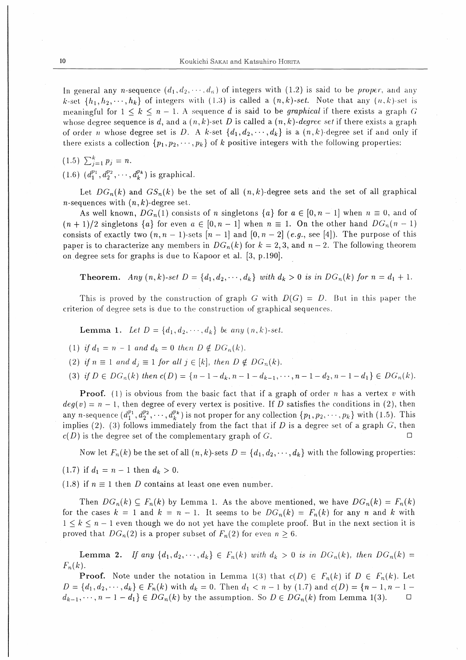In general any n-sequence  $(d_1, d_2, \dots, d_n)$  of integers with (1.2) is said to be *proper*, and any k-set  $\{h_1, h_2, \dots, h_k\}$  of integers with (1.3) is called a  $(n, k)$ -set. Note that any  $(n, k)$ -set is meaningful for  $1 \leq k \leq n-1$ . A sequence d is said to be *graphical* if there exists a graph G whose degree sequence is d, and a  $(n, k)$ -set D is called a  $(n, k)$ -degree set if there exists a graph of order *n* whose degree set is D. A k-set  $\{d_1, d_2, \dots, d_k\}$  is a  $(n, k)$ -degree set if and only if there exists a collection  $\{p_1, p_2, \dots, p_k\}$  of k positive integers with the following properties:

 $(1.5)$   $\sum_{i=1}^{k} p_i = n$ .

 $(1.6)$   $(d_1^{p_1}, d_2^{p_2}, \cdots, d_k^{p_k})$  is graphical.

Let  $DG_n(k)$  and  $GS_n(k)$  be the set of all  $(n, k)$ -degree sets and the set of all graphical *n*-sequences with  $(n, k)$ -degree set.

As well known,  $DG_n(1)$  consists of *n* singletons  $\{a\}$  for  $a \in [0, n-1]$  when  $n \equiv 0$ , and of  $(n+1)/2$  singletons  $\{a\}$  for even  $a \in [0, n-1]$  when  $n \equiv 1$ . On the other hand  $DG_n(n-1)$ consists of exactly two  $(n, n-1)$ -sets  $[n-1]$  and  $[0, n-2]$   $(e.g.,$  see [4]). The purpose of this paper is to characterize any members in  $DG_n(k)$  for  $k = 2, 3$ , and  $n - 2$ . The following theorem on degree sets for graphs is due to Kapoor et al. [3, p.190].

**Theorem.** Any  $(n, k)$ -set  $D = \{d_1, d_2, \dots, d_k\}$  with  $d_k > 0$  is in  $DG_n(k)$  for  $n = d_1 + 1$ .

This is proved by the construction of graph G with  $D(G) = D$ . But in this paper the criterion of degree sets is due to the construction of graphical sequences.

**Lemma 1.** Let  $D = \{d_1, d_2, \dots, d_k\}$  be any  $(n, k)$ -set.

(1) if  $d_1 = n - 1$  and  $d_k = 0$  then  $D \notin DG_n(k)$ .

(2) if  $n \equiv 1$  and  $d_j \equiv 1$  for all  $j \in [k]$ , then  $D \notin DG_n(k)$ .

(3) if  $D \in DG_n(k)$  then  $c(D) = \{n-1-d_k, n-1-d_{k-1}, \dots, n-1-d_2, n-1-d_1\} \in DG_n(k)$ .

**Proof.** (1) is obvious from the basic fact that if a graph of order n has a vertex v with  $deg(v) = n - 1$ , then degree of every vertex is positive. If D satisfies the conditions in (2), then any n-sequence  $(d_1^{p_1}, d_2^{p_2}, \cdots, d_k^{p_k})$  is not proper for any collection  $\{p_1, p_2, \cdots, p_k\}$  with (1.5). This implies (2). (3) follows immediately from the fact that if  $D$  is a degree set of a graph  $G$ , then  $c(D)$  is the degree set of the complementary graph of G. П

Now let  $F_n(k)$  be the set of all  $(n, k)$ -sets  $D = \{d_1, d_2, \dots, d_k\}$  with the following properties:

(1.7) if  $d_1 = n - 1$  then  $d_k > 0$ .

(1.8) if  $n \equiv 1$  then D contains at least one even number.

Then  $DG_n(k) \subseteq F_n(k)$  by Lemma 1. As the above mentioned, we have  $DG_n(k) = F_n(k)$ for the cases  $k = 1$  and  $k = n - 1$ . It seems to be  $DG_n(k) = F_n(k)$  for any n and k with  $1 \leq k \leq n-1$  even though we do not yet have the complete proof. But in the next section it is proved that  $DG_n(2)$  is a proper subset of  $F_n(2)$  for even  $n \geq 6$ .

**Lemma 2.** If any  $\{d_1, d_2, \dots, d_k\} \in F_n(k)$  with  $d_k > 0$  is in  $DG_n(k)$ , then  $DG_n(k)$  $F_n(k)$ .

**Proof.** Note under the notation in Lemma 1(3) that  $c(D) \in F_n(k)$  if  $D \in F_n(k)$ . Let  $D = \{d_1, d_2, \dots, d_k\} \in F_n(k)$  with  $d_k = 0$ . Then  $d_1 < n-1$  by (1.7) and  $c(D) = \{n-1, n-1-1\}$  $d_{k-1}, \dots, n-1-d_1 \in DG_n(k)$  by the assumption. So  $D \in DG_n(k)$  from Lemma 1(3).  $\Box$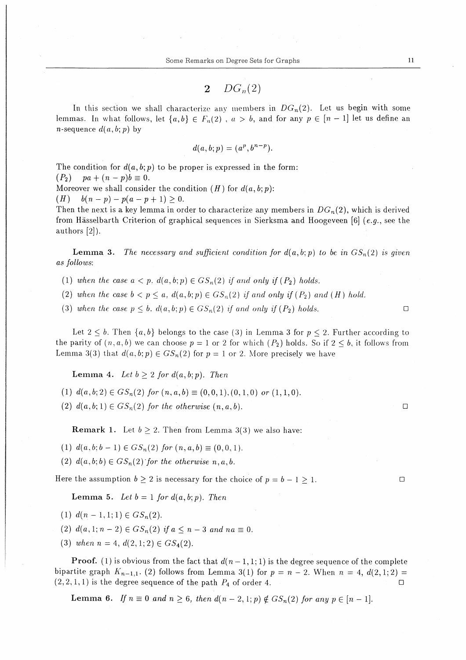$$
2-DG_n(2)
$$

In this section we shall characterize any members in  $DG_n(2)$ . Let us begin with some lemmas. In what follows, let  $\{a,b\} \in F_n(2)$ ,  $a > b$ , and for any  $p \in [n-1]$  let us define an *n*-sequence  $d(a, b; p)$  by

$$
d(a, b; p) = (a^p, b^{n-p}).
$$

The condition for  $d(a, b; p)$  to be proper is expressed in the form:  $(P_2)$  pa +  $(n-p)b \equiv 0$ .

Moreover we shall consider the condition  $(H)$  for  $d(a, b; p)$ :

(H)  $b(n-p)-p(a-p+1)\geq 0.$ 

Then the next is a key lemma in order to characterize any members in  $DG_n(2)$ , which is derived from Hässelbarth Criterion of graphical sequences in Sierksma and Hoogeveen [6]  $(e.g.,)$  see the authors[2]).

**Lemma 3.** The necessary and sufficient condition for  $d(a, b; p)$  to be in  $GS_n(2)$  is given as follows:

- (1) when the case  $a < p$ ,  $d(a, b; p) \in GS_n(2)$  if and only if  $(P_2)$  holds.
- (2) when the case  $b < p \leq a$ ,  $d(a, b; p) \in GS_n(2)$  if and only if  $(P_2)$  and  $(H)$  hold.
- (3) when the case  $p \leq b$ ,  $d(a, b; p) \in GS_n(2)$  if and only if  $(P_2)$  holds.

Let  $2 \leq b$ . Then  $\{a, b\}$  belongs to the case (3) in Lemma 3 for  $p \leq 2$ . Further according to the parity of  $(n,a,b)$  we can choose  $p=1$  or 2 for which  $(P_2)$  holds. So if  $2 \leq b$ , it follows from Lemma 3(3) that  $d(a, b; p) \in GS_n(2)$  for  $p = 1$  or 2. More precisely we have

Lemma 4. Let  $b \geq 2$  for  $d(a, b; p)$ . Then

- (1)  $d(a, b; 2) \in GS_n(2)$  for  $(n, a, b) \equiv (0, 0, 1), (0, 1, 0)$  or  $(1, 1, 0)$ .
- (2)  $d(a,b;1) \in GS_n(2)$  for the otherwise  $(n,a,b)$ .

**Remark 1.** Let  $b \geq 2$ . Then from Lemma 3(3) we also have:

- (1)  $d(a, b; b-1) \in GS_n(2)$  for  $(n, a, b) \equiv (0, 0, 1)$ .
- (2)  $d(a, b; b) \in GS_n(2)$  for the otherwise n, a, b.

Here the assumption  $b \geq 2$  is necessary for the choice of  $p = b - 1 > 1$ .

**Lemma 5.** Let  $b = 1$  for  $d(a, b; p)$ . Then

- (1)  $d(n-1,1;1) \in GS_n(2)$ .
- (2)  $d(a,1; n-2) \in GS_n(2)$  if  $a \leq n-3$  and  $na \equiv 0$ .
- (3) when  $n=4$ ,  $d(2,1;2) \in GS_4(2)$ .

**Proof.** (1) is obvious from the fact that  $d(n-1, 1; 1)$  is the degree sequence of the complete bipartite graph  $K_{n-1,1}$ . (2) follows from Lemma 3(1) for  $p = n - 2$ . When  $n = 4$ ,  $d(2,1;2)$  $(2,2,1,1)$  is the degree sequence of the path  $P_4$  of order 4.

Lemma 6. If  $n \equiv 0$  and  $n \geq 6$ , then  $d(n-2,1;p) \notin GS_n(2)$  for any  $p \in [n-1]$ .

 $\Box$ 

 $\Box$ 

 $\Box$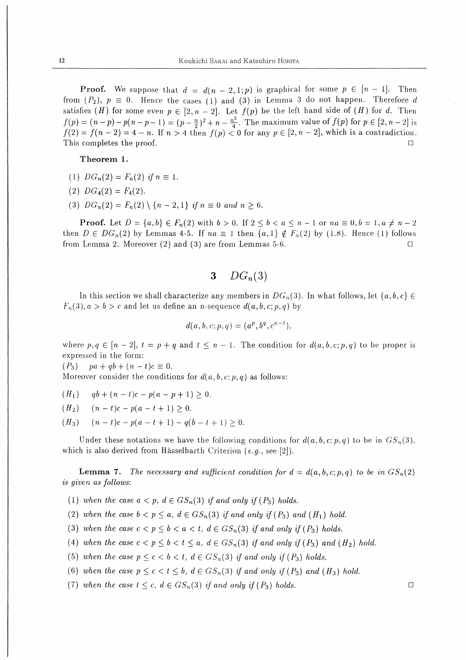**Proof.** We suppose that  $d = d(n-2,1;p)$  is graphical for some  $p \in [n-1]$ . Then from  $(P_2)$ ,  $p \equiv 0$ . Hence the cases (1) and (3) in Lemma 3 do not happen. Therefore d satisfies (H) for some even  $p \in [2, n-2]$ . Let  $f(p)$  be the left hand side of (H) for d. Then  $f(p) = (n-p) - p(n-p-1) = (p - \frac{n}{2})^2 + n - \frac{n^2}{4}$ . The maximum value of  $f(p)$  for  $p \in [2, n-2]$  is  $f(2) = f(n-2) = 4 - n$ . If  $n > 4$  then  $f(p) < 0$  for any  $p \in [2, n-2]$ , which is a contradiction. This completes the proof.  $\Box$ 

Theorem 1.

- (1)  $DG_n(2) = F_n(2)$  if  $n \equiv 1$ .
- (2)  $DG_4(2) = F_4(2)$ .
- (3)  $DG_n(2) = F_n(2) \setminus \{n-2,1\}$  if  $n \equiv 0$  and  $n > 6$ .

**Proof.** Let  $D = \{a, b\} \in F_n(2)$  with  $b > 0$ . If  $2 \le b < a \le n - 1$  or  $na \equiv 0, b = 1, a \ne n - 2$ then  $D \in DG_n(2)$  by Lemmas 4-5. If  $na \equiv 1$  then  $\{a,1\} \notin F_n(2)$  by (1.8). Hence (1) follows from Lemma 2. Moreover  $(2)$  and  $(3)$  are from Lemmas 5-6.  $\Box$ 

> $DG_n(3)$ 3

In this section we shall characterize any members in  $DG_n(3)$ . In what follows, let  $\{a, b, c\} \in$  $F_n(3), a > b > c$  and let us define an *n*-sequence  $d(a, b, c; p, q)$  by

$$
d(a, b, c; p, q) = (a^p, b^q, c^{n-t}),
$$

where  $p, q \in [n-2], t = p + q$  and  $t \leq n-1$ . The condition for  $d(a, b, c; p, q)$  to be proper is expressed in the form:

 $(P_3)$  $pa + qb + (n - t)c \equiv 0.$ 

Moreover consider the conditions for  $d(a, b, c; p, q)$  as follows:

 $(H_1)$  $qb + (n - t)c - p(a - p + 1) > 0.$ 

 $(n-t)c - p(a-t+1) > 0.$  $(H_2)$ 

 $(n-t)c - p(a-t+1) - q(b-t+1) > 0.$  $(H_3)$ 

Under these notations we have the following conditions for  $d(a, b, c; p, q)$  to be in  $GS_n(3)$ , which is also derived from Hässelbarth Criterion (e.g., see [2]).

**Lemma 7.** The necessary and sufficient condition for  $d = d(a, b, c; p, q)$  to be in  $GS_n(2)$ is given as follows:

(1) when the case  $a < p$ ,  $d \in GS_n(3)$  if and only if  $(P_3)$  holds.

(2) when the case  $b < p \le a$ ,  $d \in GS_n(3)$  if and only if  $(P_3)$  and  $(H_1)$  hold.

(3) when the case  $c < p \leq b < a < t$ ,  $d \in GS_n(3)$  if and only if  $(P_3)$  holds.

(4) when the case  $c < p \leq b < t \leq a$ ,  $d \in GS_n(3)$  if and only if  $(P_3)$  and  $(H_2)$  hold.

(5) when the case  $p \leq c \leq b \leq t$ ,  $d \in GS_n(3)$  if and only if  $(P_3)$  holds.

(6) when the case  $p \leq c < t \leq b$ ,  $d \in GS_n(3)$  if and only if  $(P_3)$  and  $(H_3)$  hold.

(7) when the case  $t \leq c$ ,  $d \in GS_n(3)$  if and only if  $(P_3)$  holds.

 $\Box$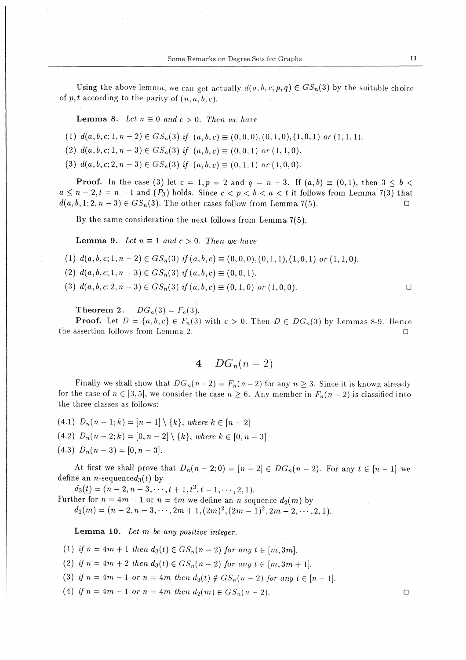Using the above lemma, we can get actually  $d(a,b,c;p,q) \in GS_n(3)$  by the suitable choice of  $p, t$  according to the parity of  $(n, a, b, c)$ .

**Lemma 8.** Let  $n \equiv 0$  and  $c > 0$ . Then we have

(1)  $d(a,b,c;1,n-2) \in GS_n(3)$  if  $(a,b,c) \equiv (0,0,0),(0,1,0),(1,0,1)$  or  $(1,1,1).$ 

(2)  $d(a, b, c; 1, n-3) \in GS_n(3)$  if  $(a, b, c) \equiv (0, 0, 1)$  or  $(1, 1, 0)$ .

(3)  $d(a, b, c; 2, n-3) \in GS_n(3)$  if  $(a, b, c) \equiv (0, 1, 1)$  or  $(1, 0, 0)$ .

**Proof.** In the case (3) let  $c = 1$ ,  $p = 2$  and  $q = n-3$ . If  $(a, b) \equiv (0, 1)$ , then  $3 \le b \le$  $a \leq n-2, t=n-1$  and  $(P_3)$  holds. Since  $c < p < b < a < t$  it follows from Lemma 7(3) that  $d(a,b,1;2,n-3) \in GS_n(3)$ . The other cases follow from Lemma 7(5).

By the same consideration the next follows from Lemma 7(5).

**Lemma 9.** Let  $n \equiv 1$  and  $c > 0$ . Then we have

- (1)  $d(a,b,c;1,n-2) \in GS_n(3)$  if  $(a,b,c) \equiv (0,0,0),(0,1,1),(1,0,1)$  or  $(1,1,0).$
- (2)  $d(a, b, c; 1, n-3) \in GS_n(3)$  if  $(a, b, c) \equiv (0, 0, 1)$ .
- (3)  $d(a,b,c;2,n-3) \in GS_n(3)$  if  $(a,b,c) \equiv (0,1,0)$  or  $(1,0,0)$ .

Theorem 2.  $DG_n(3) = F_n(3)$ .

**Proof.** Let  $D = \{a, b, c\} \in F_n(3)$  with  $c > 0$ . Then  $D \in DG_n(3)$  by Lemmas 8-9. Hence the assertion follows from Lemma 2.  $\Box$ 

$$
4 \quad DG_n(n-2)
$$

Finally we shall show that  $DG_n(n-2) = F_n(n-2)$  for any  $n > 3$ . Since it is known already for the case of  $n \in [3,5]$ , we consider the case  $n \geq 6$ . Any member in  $F_n(n-2)$  is classified into the three classes as follows:

(4.1)  $D_n(n-1;k)=[n-1]\setminus\{k\},$  where  $k\in[n-2]$ (4.2)  $D_n(n-2;k)=[0,n-2]\setminus\{k\},$  where  $k\in[0,n-3]$  $(4.3)$   $D_n(n-3) = [0, n-3].$ 

At first we shall prove that  $D_n(n-2;0) = [n-2] \in DG_n(n-2)$ . For any  $t \in [n-1]$  we define an *n*-sequence $d_3(t)$  by

 $d_3(t)=(n-2,n-3,\cdots,t+1,t^3,t-1,\cdots,2,1).$ 

Further for  $n = 4m - 1$  or  $n = 4m$  we define an *n*-sequence  $d_2(m)$  by  $d_2(m)=(n-2,n-3,\cdots,2m+1,(2m)^2,(2m-1)^2,2m-2,\cdots,2,1).$ 

Lemma 10. Let m be any positive integer.

(1) if  $n = 4m + 1$  then  $d_3(t) \in GS_n(n-2)$  for any  $t \in [m,3m]$ .

(2) if  $n=4m+2$  then  $d_3(t) \in GS_n(n-2)$  for any  $t \in [m,3m+1]$ .

(3) if  $n = 4m-1$  or  $n = 4m$  then  $d_3(t) \notin GS_n(n-2)$  for any  $t \in [n-1]$ .

(4) if  $n = 4m-1$  or  $n = 4m$ , then  $d_2(m) \in GS_n(n-2)$ .

 $\Box$